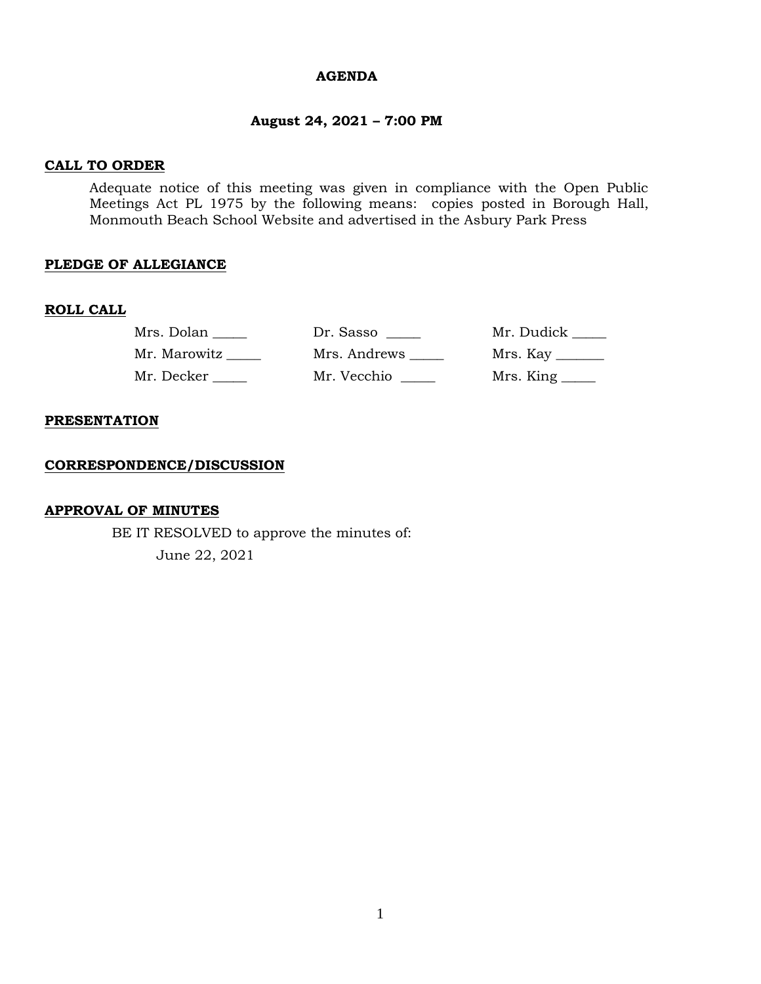#### **AGENDA**

## **August 24, 2021 – 7:00 PM**

## **CALL TO ORDER**

Adequate notice of this meeting was given in compliance with the Open Public Meetings Act PL 1975 by the following means: copies posted in Borough Hall, Monmouth Beach School Website and advertised in the Asbury Park Press

## **PLEDGE OF ALLEGIANCE**

#### **ROLL CALL**

| Mrs. Dolan   | Dr. Sasso    | Mr. Dudick ____ |
|--------------|--------------|-----------------|
| Mr. Marowitz | Mrs. Andrews |                 |
| Mr. Decker   | Mr. Vecchio  |                 |

#### **PRESENTATION**

#### **CORRESPONDENCE/DISCUSSION**

## **APPROVAL OF MINUTES**

BE IT RESOLVED to approve the minutes of: June 22, 2021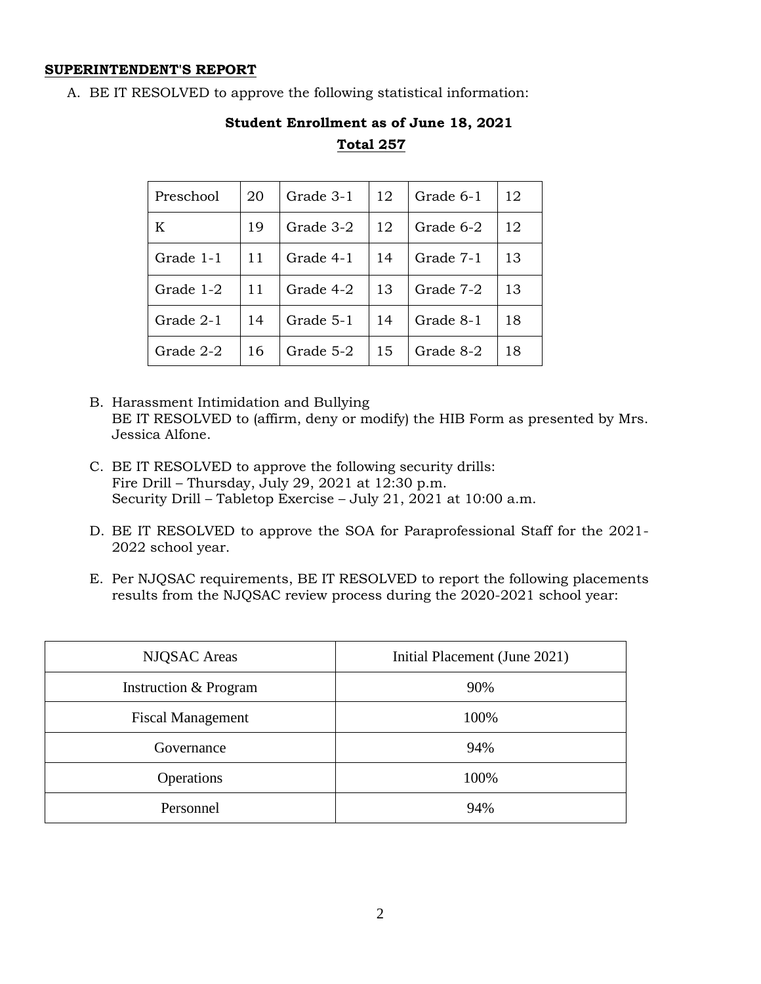## **SUPERINTENDENT'S REPORT**

A. BE IT RESOLVED to approve the following statistical information:

| Preschool | 20 | Grade 3-1 | 12 | Grade 6-1 | 12 |
|-----------|----|-----------|----|-----------|----|
| K         | 19 | Grade 3-2 | 12 | Grade 6-2 | 12 |
| Grade 1-1 | 11 | Grade 4-1 | 14 | Grade 7-1 | 13 |
| Grade 1-2 | 11 | Grade 4-2 | 13 | Grade 7-2 | 13 |
| Grade 2-1 | 14 | Grade 5-1 | 14 | Grade 8-1 | 18 |
| Grade 2-2 | 16 | Grade 5-2 | 15 | Grade 8-2 | 18 |

# **Student Enrollment as of June 18, 2021 Total 257**

- B. Harassment Intimidation and Bullying BE IT RESOLVED to (affirm, deny or modify) the HIB Form as presented by Mrs. Jessica Alfone.
- C. BE IT RESOLVED to approve the following security drills: Fire Drill – Thursday, July 29, 2021 at 12:30 p.m. Security Drill – Tabletop Exercise – July 21, 2021 at 10:00 a.m.
- D. BE IT RESOLVED to approve the SOA for Paraprofessional Staff for the 2021- 2022 school year.
- E. Per NJQSAC requirements, BE IT RESOLVED to report the following placements results from the NJQSAC review process during the 2020-2021 school year:

| <b>NJQSAC</b> Areas      | Initial Placement (June 2021) |
|--------------------------|-------------------------------|
| Instruction & Program    | 90%                           |
| <b>Fiscal Management</b> | 100%                          |
| Governance               | 94%                           |
| Operations               | 100%                          |
| Personnel                | 94%                           |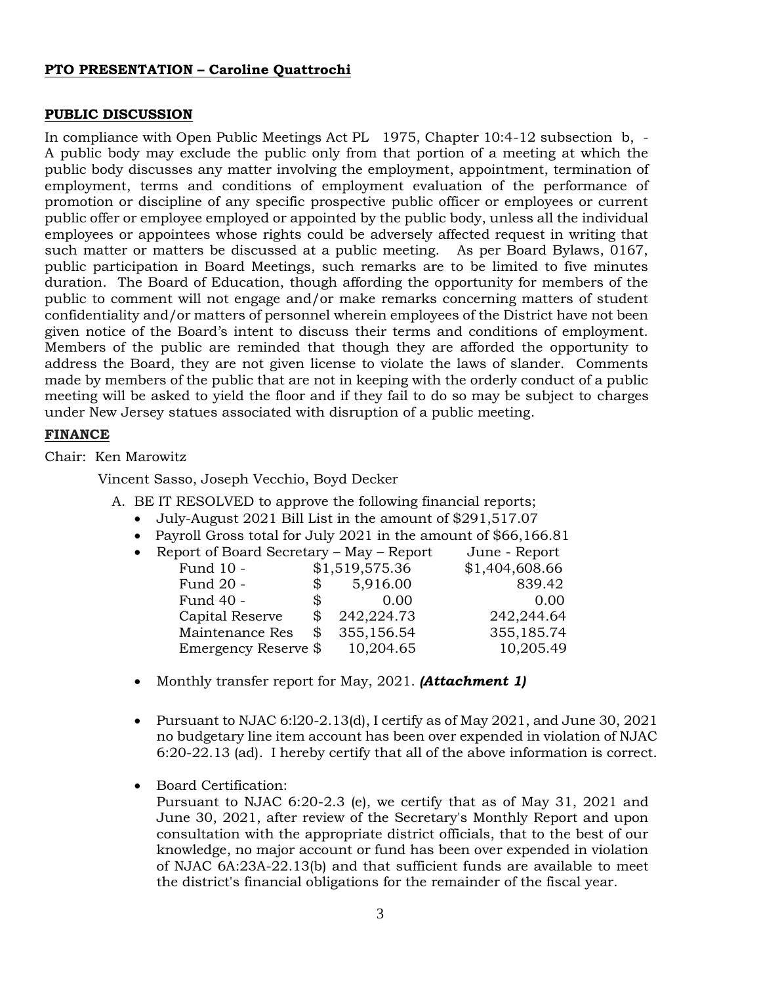## **PTO PRESENTATION – Caroline Quattrochi**

## **PUBLIC DISCUSSION**

In compliance with Open Public Meetings Act PL 1975, Chapter 10:4-12 subsection b, - A public body may exclude the public only from that portion of a meeting at which the public body discusses any matter involving the employment, appointment, termination of employment, terms and conditions of employment evaluation of the performance of promotion or discipline of any specific prospective public officer or employees or current public offer or employee employed or appointed by the public body, unless all the individual employees or appointees whose rights could be adversely affected request in writing that such matter or matters be discussed at a public meeting. As per Board Bylaws, 0167, public participation in Board Meetings, such remarks are to be limited to five minutes duration. The Board of Education, though affording the opportunity for members of the public to comment will not engage and/or make remarks concerning matters of student confidentiality and/or matters of personnel wherein employees of the District have not been given notice of the Board's intent to discuss their terms and conditions of employment. Members of the public are reminded that though they are afforded the opportunity to address the Board, they are not given license to violate the laws of slander. Comments made by members of the public that are not in keeping with the orderly conduct of a public meeting will be asked to yield the floor and if they fail to do so may be subject to charges under New Jersey statues associated with disruption of a public meeting.

## **FINANCE**

Chair: Ken Marowitz

Vincent Sasso, Joseph Vecchio, Boyd Decker

- A. BE IT RESOLVED to approve the following financial reports;
	- July-August 2021 Bill List in the amount of \$291,517.07
	- Payroll Gross total for July 2021 in the amount of \$66,166.81
	- Report of Board Secretary May Report June Report

| Fund 10 -            |                | \$1,519,575.36 | \$1,404,608.66 |
|----------------------|----------------|----------------|----------------|
| Fund 20 -            | \$             | 5,916.00       | 839.42         |
| Fund 40 -            | $\mathbb{S}^-$ | 0.00           | 0.00           |
| Capital Reserve      |                | 242,224.73     | 242,244.64     |
| Maintenance Res      | \$             | 355,156.54     | 355,185.74     |
| Emergency Reserve \$ |                | 10,204.65      | 10,205.49      |
|                      |                |                |                |

- Monthly transfer report for May, 2021. *(Attachment 1)*
- Pursuant to NJAC 6:l20-2.13(d), I certify as of May 2021, and June 30, 2021 no budgetary line item account has been over expended in violation of NJAC 6:20-22.13 (ad). I hereby certify that all of the above information is correct.
- Board Certification:

Pursuant to NJAC 6:20-2.3 (e), we certify that as of May 31, 2021 and June 30, 2021, after review of the Secretary's Monthly Report and upon consultation with the appropriate district officials, that to the best of our knowledge, no major account or fund has been over expended in violation of NJAC 6A:23A-22.13(b) and that sufficient funds are available to meet the district's financial obligations for the remainder of the fiscal year.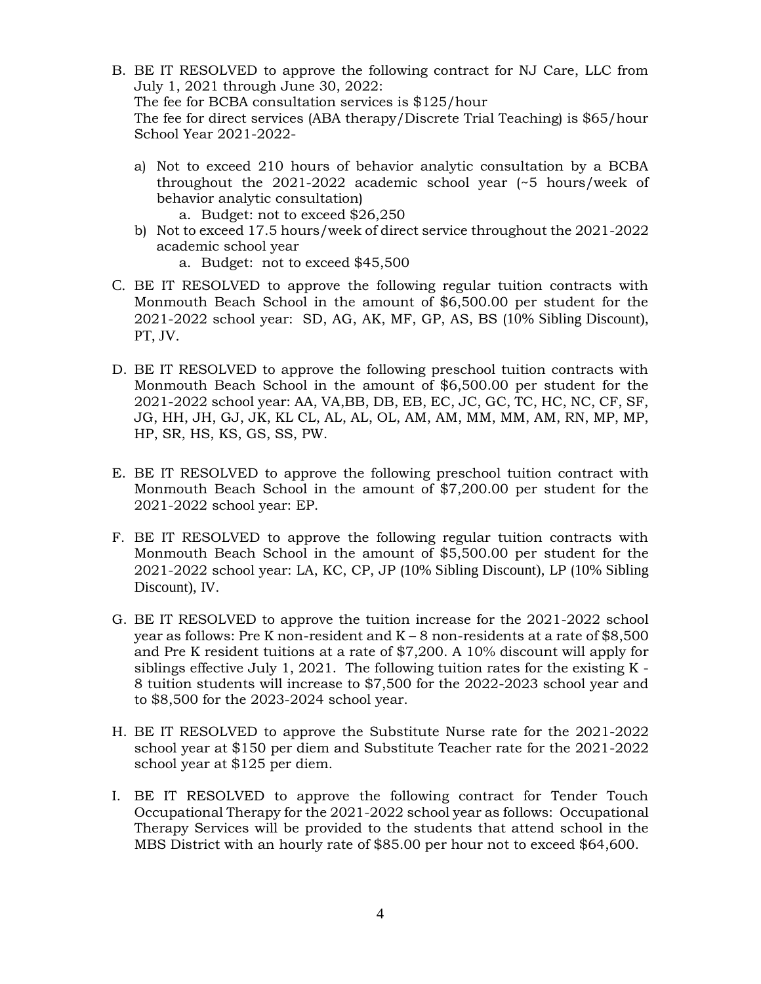- B. BE IT RESOLVED to approve the following contract for NJ Care, LLC from July 1, 2021 through June 30, 2022: The fee for BCBA consultation services is \$125/hour The fee for direct services (ABA therapy/Discrete Trial Teaching) is \$65/hour School Year 2021-2022
	- a) Not to exceed 210 hours of behavior analytic consultation by a BCBA throughout the 2021-2022 academic school year (~5 hours/week of behavior analytic consultation)
		- a. Budget: not to exceed \$26,250
	- b) Not to exceed 17.5 hours/week of direct service throughout the 2021-2022 academic school year
		- a. Budget: not to exceed \$45,500
- C. BE IT RESOLVED to approve the following regular tuition contracts with Monmouth Beach School in the amount of \$6,500.00 per student for the 2021-2022 school year: SD, AG, AK, MF, GP, AS, BS (10% Sibling Discount), PT, JV.
- D. BE IT RESOLVED to approve the following preschool tuition contracts with Monmouth Beach School in the amount of \$6,500.00 per student for the 2021-2022 school year: AA, VA,BB, DB, EB, EC, JC, GC, TC, HC, NC, CF, SF, JG, HH, JH, GJ, JK, KL CL, AL, AL, OL, AM, AM, MM, MM, AM, RN, MP, MP, HP, SR, HS, KS, GS, SS, PW.
- E. BE IT RESOLVED to approve the following preschool tuition contract with Monmouth Beach School in the amount of \$7,200.00 per student for the 2021-2022 school year: EP.
- F. BE IT RESOLVED to approve the following regular tuition contracts with Monmouth Beach School in the amount of \$5,500.00 per student for the 2021-2022 school year: LA, KC, CP, JP (10% Sibling Discount), LP (10% Sibling Discount), IV.
- G. BE IT RESOLVED to approve the tuition increase for the 2021-2022 school year as follows: Pre K non-resident and  $K - 8$  non-residents at a rate of \$8,500 and Pre K resident tuitions at a rate of \$7,200. A 10% discount will apply for siblings effective July 1, 2021. The following tuition rates for the existing  $K -$ 8 tuition students will increase to \$7,500 for the 2022-2023 school year and to \$8,500 for the 2023-2024 school year.
- H. BE IT RESOLVED to approve the Substitute Nurse rate for the 2021-2022 school year at \$150 per diem and Substitute Teacher rate for the 2021-2022 school year at \$125 per diem.
- I. BE IT RESOLVED to approve the following contract for Tender Touch Occupational Therapy for the 2021-2022 school year as follows: Occupational Therapy Services will be provided to the students that attend school in the MBS District with an hourly rate of \$85.00 per hour not to exceed \$64,600.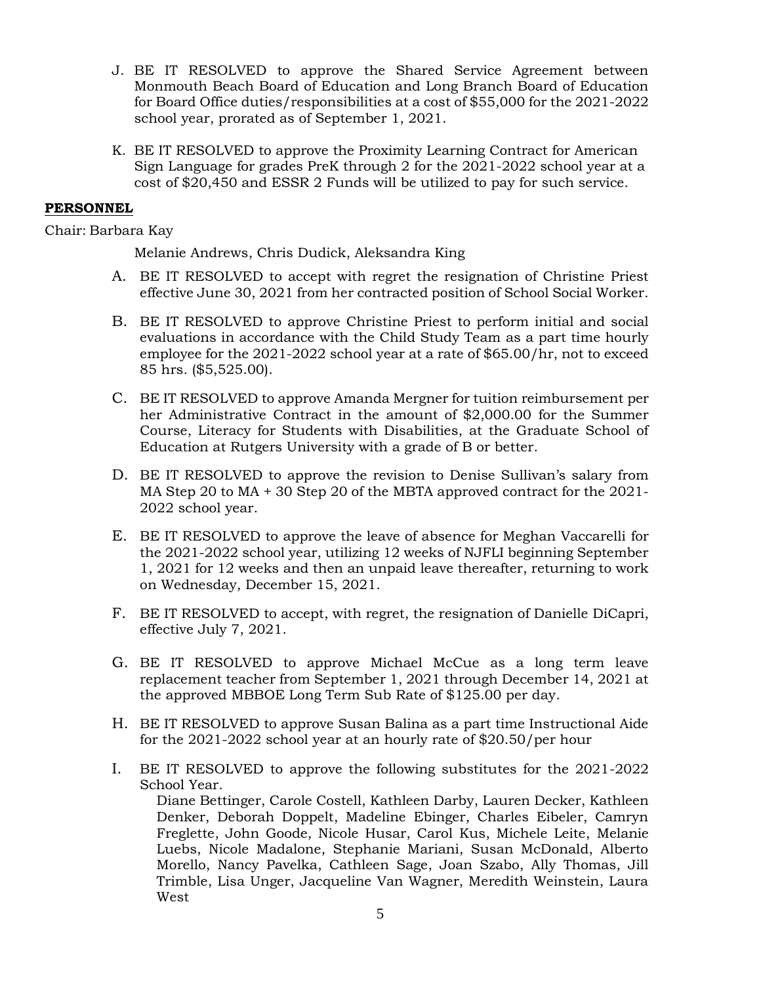- J. BE IT RESOLVED to approve the Shared Service Agreement between Monmouth Beach Board of Education and Long Branch Board of Education for Board Office duties/responsibilities at a cost of \$55,000 for the 2021-2022 school year, prorated as of September 1, 2021.
- K. BE IT RESOLVED to approve the Proximity Learning Contract for American Sign Language for grades PreK through 2 for the 2021-2022 school year at a cost of \$20,450 and ESSR 2 Funds will be utilized to pay for such service.

## **PERSONNEL**

Chair: Barbara Kay

Melanie Andrews, Chris Dudick, Aleksandra King

- A. BE IT RESOLVED to accept with regret the resignation of Christine Priest effective June 30, 2021 from her contracted position of School Social Worker.
- B. BE IT RESOLVED to approve Christine Priest to perform initial and social evaluations in accordance with the Child Study Team as a part time hourly employee for the 2021-2022 school year at a rate of \$65.00/hr, not to exceed 85 hrs. (\$5,525.00).
- C. BE IT RESOLVED to approve Amanda Mergner for tuition reimbursement per her Administrative Contract in the amount of \$2,000.00 for the Summer Course, Literacy for Students with Disabilities, at the Graduate School of Education at Rutgers University with a grade of B or better.
- D. BE IT RESOLVED to approve the revision to Denise Sullivan's salary from MA Step 20 to MA + 30 Step 20 of the MBTA approved contract for the 2021- 2022 school year.
- E. BE IT RESOLVED to approve the leave of absence for Meghan Vaccarelli for the 2021-2022 school year, utilizing 12 weeks of NJFLI beginning September 1, 2021 for 12 weeks and then an unpaid leave thereafter, returning to work on Wednesday, December 15, 2021.
- F. BE IT RESOLVED to accept, with regret, the resignation of Danielle DiCapri, effective July 7, 2021.
- G. BE IT RESOLVED to approve Michael McCue as a long term leave replacement teacher from September 1, 2021 through December 14, 2021 at the approved MBBOE Long Term Sub Rate of \$125.00 per day.
- H. BE IT RESOLVED to approve Susan Balina as a part time Instructional Aide for the 2021-2022 school year at an hourly rate of \$20.50/per hour
- I. BE IT RESOLVED to approve the following substitutes for the 2021-2022 School Year.

Diane Bettinger, Carole Costell, Kathleen Darby, Lauren Decker, Kathleen Denker, Deborah Doppelt, Madeline Ebinger, Charles Eibeler, Camryn Freglette, John Goode, Nicole Husar, Carol Kus, Michele Leite, Melanie Luebs, Nicole Madalone, Stephanie Mariani, Susan McDonald, Alberto Morello, Nancy Pavelka, Cathleen Sage, Joan Szabo, Ally Thomas, Jill Trimble, Lisa Unger, Jacqueline Van Wagner, Meredith Weinstein, Laura West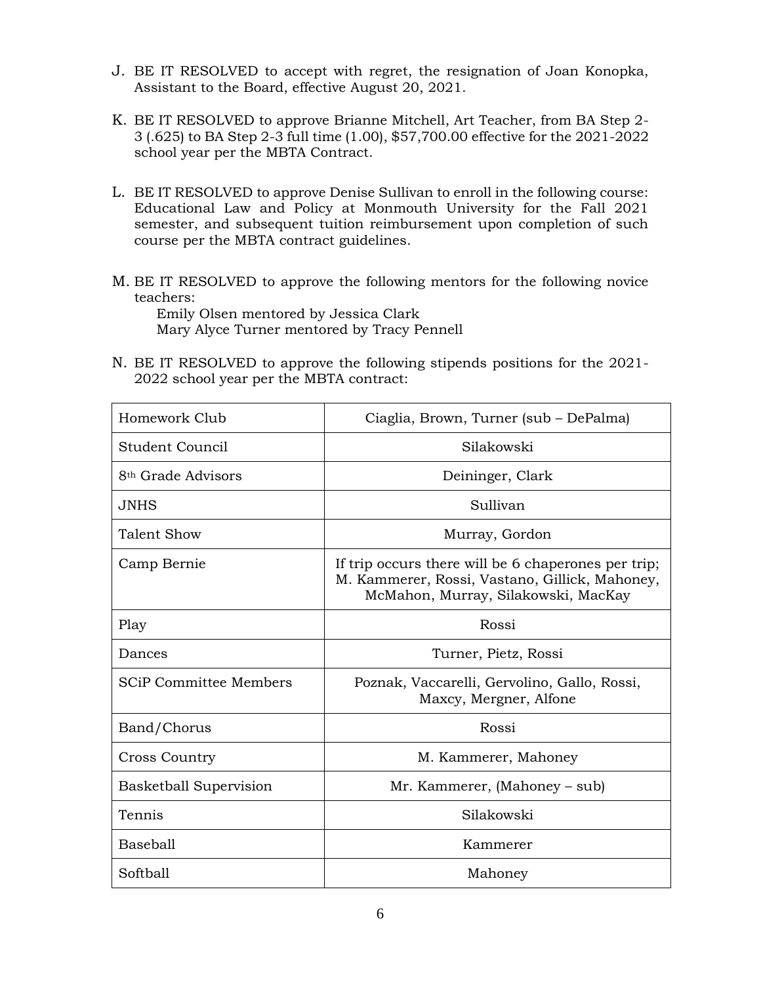- J. BE IT RESOLVED to accept with regret, the resignation of Joan Konopka, Assistant to the Board, effective August 20, 2021.
- K. BE IT RESOLVED to approve Brianne Mitchell, Art Teacher, from BA Step 2- 3 (.625) to BA Step 2-3 full time (1.00), \$57,700.00 effective for the 2021-2022 school year per the MBTA Contract.
- L. BE IT RESOLVED to approve Denise Sullivan to enroll in the following course: Educational Law and Policy at Monmouth University for the Fall 2021 semester, and subsequent tuition reimbursement upon completion of such course per the MBTA contract guidelines.
- M. BE IT RESOLVED to approve the following mentors for the following novice teachers:

Emily Olsen mentored by Jessica Clark Mary Alyce Turner mentored by Tracy Pennell

N. BE IT RESOLVED to approve the following stipends positions for the 2021- 2022 school year per the MBTA contract:

| Homework Club                  | Ciaglia, Brown, Turner (sub - DePalma)                                                                                                       |
|--------------------------------|----------------------------------------------------------------------------------------------------------------------------------------------|
| Student Council                | Silakowski                                                                                                                                   |
| 8 <sup>th</sup> Grade Advisors | Deininger, Clark                                                                                                                             |
| JNHS                           | Sullivan                                                                                                                                     |
| Talent Show                    | Murray, Gordon                                                                                                                               |
| Camp Bernie                    | If trip occurs there will be 6 chaperones per trip;<br>M. Kammerer, Rossi, Vastano, Gillick, Mahoney,<br>McMahon, Murray, Silakowski, MacKay |
| Play                           | Rossi                                                                                                                                        |
| Dances                         | Turner, Pietz, Rossi                                                                                                                         |
| <b>SCiP Committee Members</b>  | Poznak, Vaccarelli, Gervolino, Gallo, Rossi,<br>Maxcy, Mergner, Alfone                                                                       |
| Band/Chorus                    | Rossi                                                                                                                                        |
| <b>Cross Country</b>           | M. Kammerer, Mahoney                                                                                                                         |
| Basketball Supervision         | Mr. Kammerer, (Mahoney – sub)                                                                                                                |
| Tennis                         | Silakowski                                                                                                                                   |
| Baseball                       | Kammerer                                                                                                                                     |
| Softball                       | Mahoney                                                                                                                                      |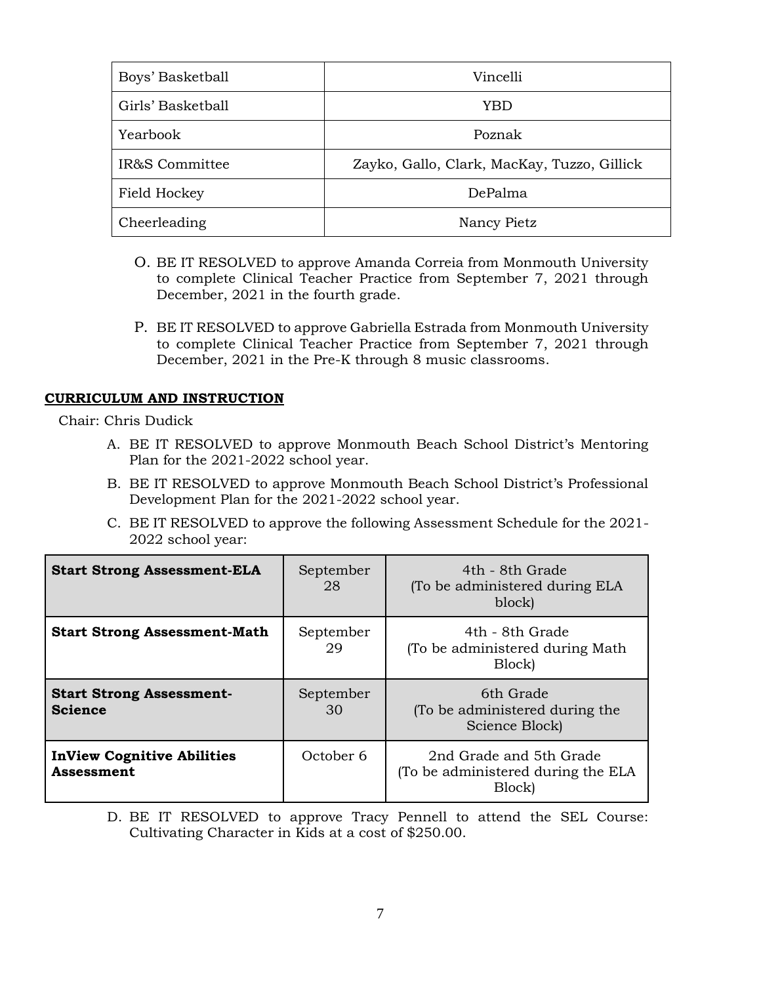| Boys' Basketball  | Vincelli                                    |  |
|-------------------|---------------------------------------------|--|
| Girls' Basketball | YBD                                         |  |
| Yearbook          | Poznak                                      |  |
| IR&S Committee    | Zayko, Gallo, Clark, MacKay, Tuzzo, Gillick |  |
| Field Hockey      | DePalma                                     |  |
| Cheerleading      | Nancy Pietz                                 |  |

- O. BE IT RESOLVED to approve Amanda Correia from Monmouth University to complete Clinical Teacher Practice from September 7, 2021 through December, 2021 in the fourth grade.
- P. BE IT RESOLVED to approve Gabriella Estrada from Monmouth University to complete Clinical Teacher Practice from September 7, 2021 through December, 2021 in the Pre-K through 8 music classrooms.

## **CURRICULUM AND INSTRUCTION**

Chair: Chris Dudick

- A. BE IT RESOLVED to approve Monmouth Beach School District's Mentoring Plan for the 2021-2022 school year.
- B. BE IT RESOLVED to approve Monmouth Beach School District's Professional Development Plan for the 2021-2022 school year.
- C. BE IT RESOLVED to approve the following Assessment Schedule for the 2021- 2022 school year:

| <b>Start Strong Assessment-ELA</b>                     | September<br>28 | 4th - 8th Grade<br>(To be administered during ELA<br>block)             |
|--------------------------------------------------------|-----------------|-------------------------------------------------------------------------|
| <b>Start Strong Assessment-Math</b>                    | September<br>29 | 4th - 8th Grade<br>(To be administered during Math)<br>Block)           |
| <b>Start Strong Assessment-</b><br><b>Science</b>      | September<br>30 | 6th Grade<br>(To be administered during the<br>Science Block)           |
| <b>InView Cognitive Abilities</b><br><b>Assessment</b> | October 6       | 2nd Grade and 5th Grade<br>(To be administered during the ELA<br>Block) |

D. BE IT RESOLVED to approve Tracy Pennell to attend the SEL Course: Cultivating Character in Kids at a cost of \$250.00.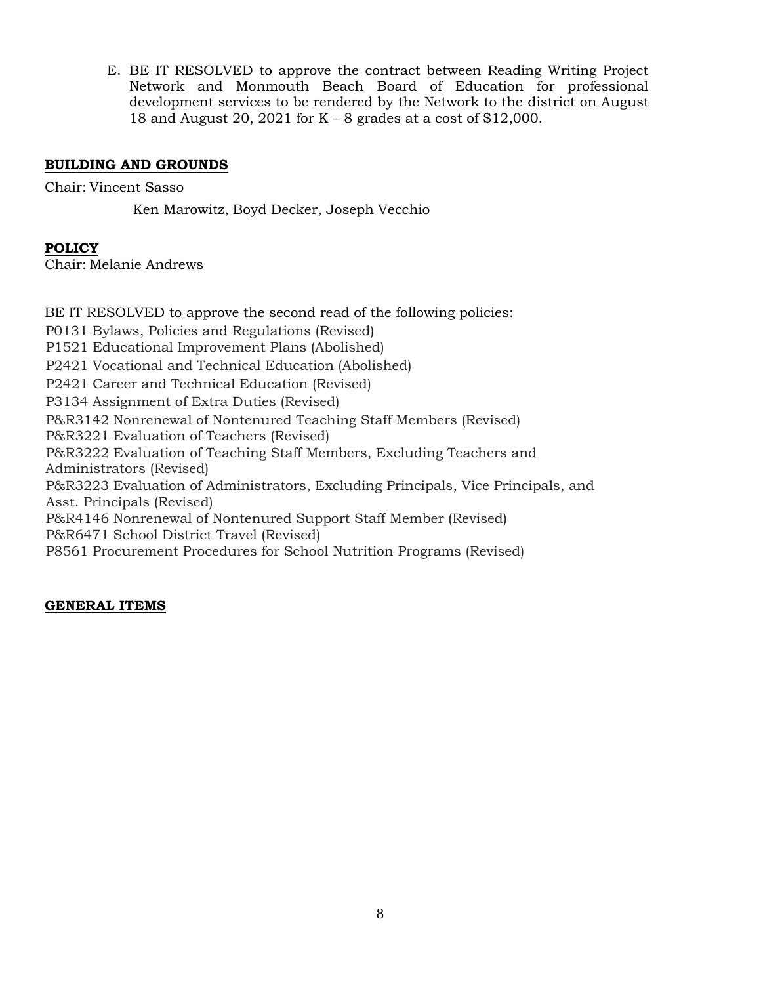E. BE IT RESOLVED to approve the contract between Reading Writing Project Network and Monmouth Beach Board of Education for professional development services to be rendered by the Network to the district on August 18 and August 20, 2021 for K – 8 grades at a cost of \$12,000.

# **BUILDING AND GROUNDS**

Chair: Vincent Sasso

Ken Marowitz, Boyd Decker, Joseph Vecchio

# **POLICY**

Chair: Melanie Andrews

BE IT RESOLVED to approve the second read of the following policies: P0131 Bylaws, Policies and Regulations (Revised) P1521 Educational Improvement Plans (Abolished) P2421 Vocational and Technical Education (Abolished) P2421 Career and Technical Education (Revised) P3134 Assignment of Extra Duties (Revised) P&R3142 Nonrenewal of Nontenured Teaching Staff Members (Revised) P&R3221 Evaluation of Teachers (Revised) P&R3222 Evaluation of Teaching Staff Members, Excluding Teachers and Administrators (Revised) P&R3223 Evaluation of Administrators, Excluding Principals, Vice Principals, and Asst. Principals (Revised) P&R4146 Nonrenewal of Nontenured Support Staff Member (Revised) P&R6471 School District Travel (Revised) P8561 Procurement Procedures for School Nutrition Programs (Revised)

# **GENERAL ITEMS**